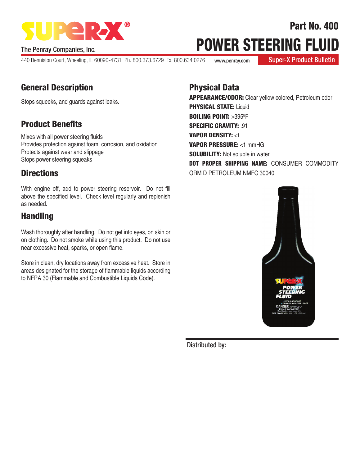

#### The Penray Companies, Inc.

440 Denniston Court, Wheeling, IL 60090-4731 Ph. 800.373.6729 Fx. 800.634.0276 www.penray.com

Super-X Product Bulletin

Part No. 400

# General Description

Stops squeeks, and guards against leaks.

# Product Benefits

Mixes with all power steering fluids Provides protection against foam, corrosion, and oxidation Protects against wear and slippage Stops power steering squeaks

### **Directions**

With engine off, add to power steering reservoir. Do not fill above the specified level. Check level regularly and replenish as needed.

# **Handling**

Wash thoroughly after handling. Do not get into eyes, on skin or on clothing. Do not smoke while using this product. Do not use near excessive heat, sparks, or open flame.

Store in clean, dry locations away from excessive heat. Store in areas designated for the storage of flammable liquids according to NFPA 30 (Flammable and Combustible Liquids Code).

# Physical Data

APPEARANCE/ODOR: Clear yellow colored, Petroleum odor PHYSICAL STATE: Liquid BOILING POINT: >395ºF SPECIFIC GRAVITY: 91 VAPOR DENSITY: <1 VAPOR PRESSURE: <1 mmHG SOLUBILITY: Not soluble in water DOT PROPER SHIPPING NAME: CONSUMER COMMODITY ORM D PETROLEUM NMFC 30040

POWER STEERING FLUID



Distributed by: